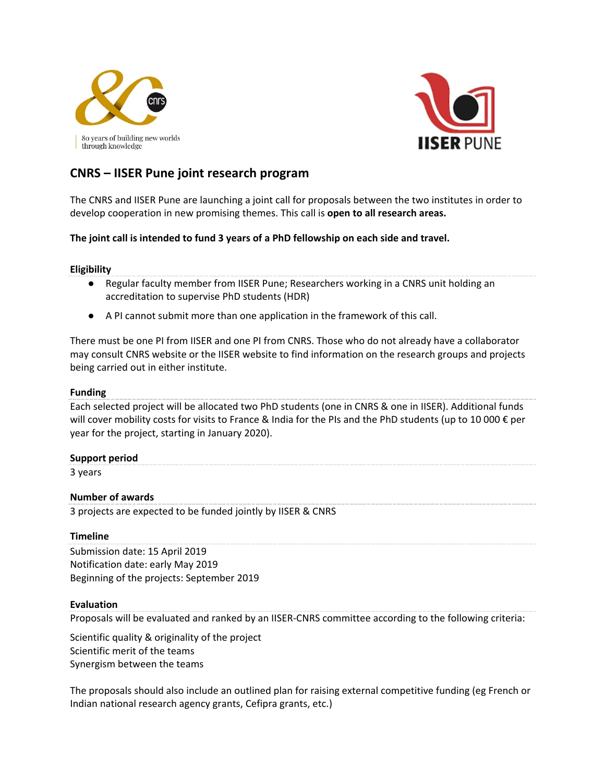



# **CNRS – IISER Pune joint research program**

The CNRS and IISER Pune are launching a joint call for proposals between the two institutes in order to develop cooperation in new promising themes. This call is **open to all research areas.**

# **The joint call is intended to fund 3 years of a PhD fellowship on each side and travel.**

# **Eligibility**

- Regular faculty member from IISER Pune; Researchers working in a CNRS unit holding an accreditation to supervise PhD students (HDR)
- A PI cannot submit more than one application in the framework of this call.

There must be one PI from IISER and one PI from CNRS. Those who do not already have a collaborator may consult [CNRS website](http://www.cnrs.fr/index.html) or the [IISER website](https://www.weizmann.ac.il/pages/faculties-and-departments) to find information on the research groups and projects being carried out in either institute.

## **Funding**

Each selected project will be allocated two PhD students (one in CNRS & one in IISER). Additional funds will cover mobility costs for visits to France & India for the PIs and the PhD students (up to 10 000 € per year for the project, starting in January 2020).

# **Support period**

3 years

# **Number of awards**

3 projects are expected to be funded jointly by IISER & CNRS

# **Timeline**

Submission date: 15 April 2019 Notification date: early May 2019 Beginning of the projects: September 2019

#### **Evaluation**

Proposals will be evaluated and ranked by an IISER-CNRS committee according to the following criteria:

Scientific quality & originality of the project Scientific merit of the teams Synergism between the teams

The proposals should also include an outlined plan for raising external competitive funding (eg French or Indian national research agency grants, Cefipra grants, etc.)